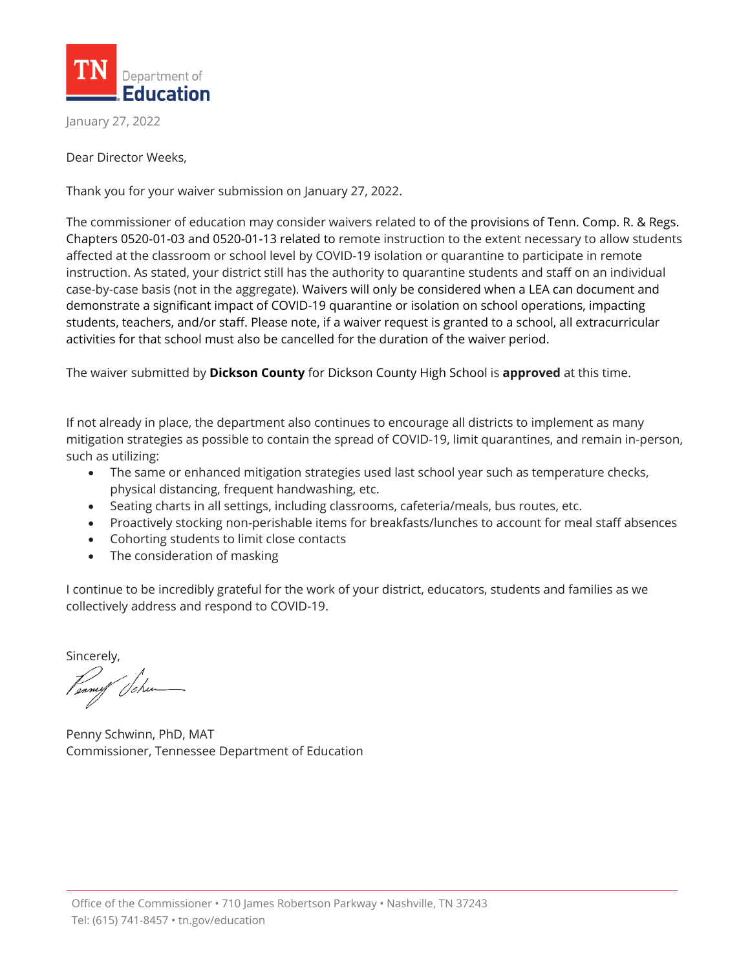

January 27, 2022

Dear Director Weeks,

Thank you for your waiver submission on January 27, 2022.

The commissioner of education may consider waivers related to of the provisions of Tenn. Comp. R. & Regs. Chapters 0520-01-03 and 0520-01-13 related to remote instruction to the extent necessary to allow students affected at the classroom or school level by COVID-19 isolation or quarantine to participate in remote instruction. As stated, your district still has the authority to quarantine students and staff on an individual case-by-case basis (not in the aggregate). Waivers will only be considered when a LEA can document and demonstrate a significant impact of COVID-19 quarantine or isolation on school operations, impacting students, teachers, and/or staff. Please note, if a waiver request is granted to a school, all extracurricular activities for that school must also be cancelled for the duration of the waiver period.

The waiver submitted by **Dickson County** for Dickson County High School is **approved** at this time.

If not already in place, the department also continues to encourage all districts to implement as many mitigation strategies as possible to contain the spread of COVID-19, limit quarantines, and remain in-person, such as utilizing:

- The same or enhanced mitigation strategies used last school year such as temperature checks, physical distancing, frequent handwashing, etc.
- Seating charts in all settings, including classrooms, cafeteria/meals, bus routes, etc.
- Proactively stocking non-perishable items for breakfasts/lunches to account for meal staff absences
- Cohorting students to limit close contacts
- The consideration of masking

I continue to be incredibly grateful for the work of your district, educators, students and families as we collectively address and respond to COVID-19.

Sincerely,

Penny Schwinn, PhD, MAT Commissioner, Tennessee Department of Education